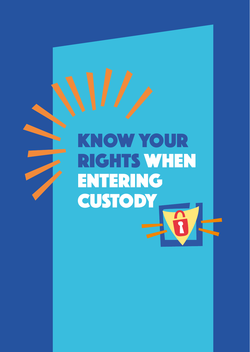# Know your rights when **ENTERING CUSTODY**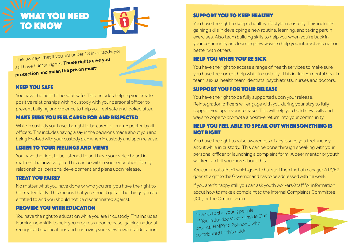# What you need **TO KNOW**



The law says that if you are under 18 in custody, you still have human rights. Those rights give you protection and mean the prison must:



# KEEP YOU SAFE

You have the right to be kept safe. This includes helping you create positive relationships within custody with your personal officer to prevent bullying and violence to help you feel safe and looked after.

### MAKE SURE YOU FEEL CARED FOR AND RESPECTED

While in custody you have the right to be cared for and respected by all officers. This includes having a say in the decisions made about you and being involved with your custody plan when in custody and upon release.

#### LISTEN TO YOUR FEELINGS AND VIEWS

You have the right to be listened to and have your voice heard in matters that involve you. This can be within your education, family relationships, personal development and plans upon release.

#### TREAT YOU FAIRLY

No matter what you have done or who you are, you have the right to be treated fairly. This means that you should get all the things you are entitled to and you should not be discriminated against.

#### PROVIDE YOU WITH EDUCATION

You have the right to education while you are in custody. This includes learning new skills to help you progress upon release, gaining national recognised qualifications and improving your view towards education.

# SUPPORT YOU TO KEEP HEALTHY

You have the right to keep a healthy lifestyle in custody. This includes gaining skills in developing a new routine, learning, and taking part in exercises. Also team building skills to help you when you're back in your community and learning new ways to help you interact and get on better with others.

### HELP YOU WHEN YOU'RE SICK

You have the right to access a range of health services to make sure you have the correct help while in custody. This includes mental health team, sexual health team, dentists, psychiatrists, nurses and doctors.

#### SUPPORT YOU FOR YOUR RELEASE

You have the right to be fully supported upon your release. Reintegration officers will engage with you during your stay to fully support you upon your release. This will help you build new skills and ways to cope to promote a positive return into your community.

#### HELP YOU FEEL ABLE TO SPEAK OUT WHEN SOMETHING IS NOT RIGHT

You have the right to raise awareness of any issues you feel uneasy about while in custody. This can be done through speaking with your personal officer or launching a complaint form. A peer mentor or youth worker can tell you more about this.

You can fill out a PCF1 which goes to hall staff then the hall manager. A PCF2 goes straight to the Governor and has to be addressed within a week.

If you aren't happy still, you can ask youth workers/staff for information about how to make a complaint to the Internal Complaints Committee (ICC) or the Ombudsman.

Thanks to the young people of Youth Justice Voice's Inside Out project (HMPYOI Polmont) who contributed to this guide.